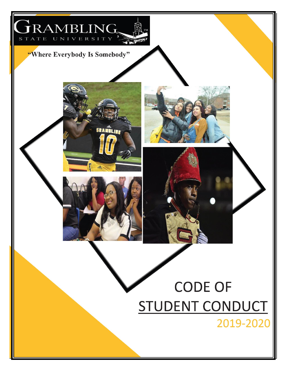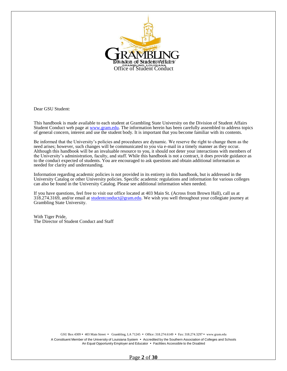

Dear GSU Student:

This handbook is made available to each student at Grambling State University on the Division of Student Affairs Student Conduct web page a[t www.gram.edu.](http://www.gram.edu/) The information herein has been carefully assembled to address topics of general concern, interest and use the student body. It is important that you become familiar with its contents.

Be informed that the University's policies and procedures are dynamic. We reserve the right to change them as the need arises; however, such changes will be communicated to you via e-mail in a timely manner as they occur. Although this handbook will be an invaluable resource to you, it should not deter your interactions with members of the University's administration, faculty, and staff. While this handbook is not a contract, it does provide guidance as to the conduct expected of students. You are encouraged to ask questions and obtain additional information as needed for clarity and understanding.

Information regarding academic policies is not provided in its entirety in this handbook, but is addressed in the University Catalog or other University policies. Specific academic regulations and information for various colleges can also be found in the University Catalog. Please see additional information when needed.

If you have questions, feel free to visit our office located at 403 Main St. (Across from Brown Hall), call us at 318.274.3169, and/or email at [studentconduct@gram.edu.](mailto:studentconduct@gram.edu) We wish you well throughout your collegiate journey at Grambling State University.

With Tiger Pride, The Director of Student Conduct and Staff

> GSU Box 4309 · 403 Main Street · Grambling, LA 71245 · Office: 318.274.6149 · Fax: 318.274.3297 · [www.gram.edu](http://www.gram.edu/) A Constituent Member of the University of Louisiana System • Accredited by the Southern Association of Colleges and Schools An Equal Opportunity Employer and Educator • Facilities Accessible to the Disabled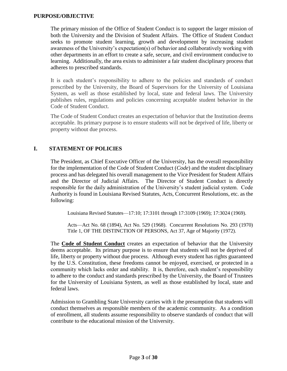The primary mission of the Office of Student Conduct is to support the larger mission of both the University and the Division of Student Affairs. The Office of Student Conduct seeks to promote student learning, growth and development by increasing student awareness of the University's expectation(s) of behavior and collaboratively working with other departments in an effort to create a safe, secure, and civil environment conducive to learning. Additionally, the area exists to administer a fair student disciplinary process that adheres to prescribed standards.

It is each student's responsibility to adhere to the policies and standards of conduct prescribed by the University, the Board of Supervisors for the University of Louisiana System, as well as those established by local, state and federal laws. The University publishes rules, regulations and policies concerning acceptable student behavior in the Code of Student Conduct.

The Code of Student Conduct creates an expectation of behavior that the Institution deems acceptable. Its primary purpose is to ensure students will not be deprived of life, liberty or property without due process.

# **I. STATEMENT OF POLICIES**

The President, as Chief Executive Officer of the University, has the overall responsibility for the implementation of the Code of Student Conduct (*Code*) and the student disciplinary process and has delegated his overall management to the Vice President for Student Affairs and the Director of Judicial Affairs. The Director of Student Conduct is directly responsible for the daily administration of the University's student judicial system. Code Authority is found in Louisiana Revised Statutes, Acts, Concurrent Resolutions, etc. as the following:

Louisiana Revised Statutes—17:10; 17:3101 through 17:3109 (1969); 17:3024 (1969).

Acts—Act No. 68 (1894), Act No. 529 (1968). Concurrent Resolutions No. 293 (1970) Title 1, OF THE DISTINCTION OF PERSONS, Act 37, Age of Majority (1972).

The **[Code of Student Conduct](http://www.gram.edu/student%20life/judicialaff/docs/Code%20of%20Conduct.pdf)** creates an expectation of behavior that the University deems acceptable. Its primary purpose is to ensure that students will not be deprived of life, liberty or property without due process. Although every student has rights guaranteed by the U.S. Constitution, these freedoms cannot be enjoyed, exercised, or protected in a community which lacks order and stability. It is, therefore, each student's responsibility to adhere to the conduct and standards prescribed by the University, the Board of Trustees for the University of Louisiana System, as well as those established by local, state and federal laws.

Admission to Grambling State University carries with it the presumption that students will conduct themselves as responsible members of the academic community. As a condition of enrollment, all students assume responsibility to observe standards of conduct that will contribute to the educational mission of the University.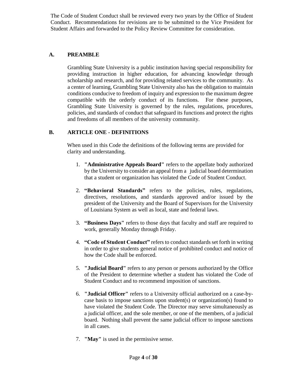The Code of Student Conduct shall be reviewed every two years by the Office of Student Conduct. Recommendations for revisions are to be submitted to the Vice President for Student Affairs and forwarded to the Policy Review Committee for consideration.

## **A. PREAMBLE**

Grambling State University is a public institution having special responsibility for providing instruction in higher education, for advancing knowledge through scholarship and research, and for providing related services to the community. As a center of learning, Grambling State University also has the obligation to maintain conditions conducive to freedom of inquiry and expression to the maximum degree compatible with the orderly conduct of its functions. For these purposes, Grambling State University is governed by the rules, regulations, procedures, policies, and standards of conduct that safeguard its functions and protect the rights and freedoms of all members of the university community.

## **B. ARTICLE ONE - DEFINITIONS**

When used in this Code the definitions of the following terms are provided for clarity and understanding.

- 1. **"Administrative Appeals Board"** refers to the appellate body authorized by the University to consider an appeal from a judicial board determination that a student or organization has violated the Code of Student Conduct.
- 2. **"Behavioral Standards"** refers to the policies, rules, regulations, directives, resolutions, and standards approved and/or issued by the president of the University and the Board of Supervisors for the University of Louisiana System as well as local, state and federal laws.
- 3. **"Business Days"** refers to those days that faculty and staff are required to work, generally Monday through Friday.
- 4. **"Code of Student Conduct"** refers to conduct standards set forth in writing in order to give students general notice of prohibited conduct and notice of how the Code shall be enforced.
- 5. **"Judicial Board"** refers to any person or persons authorized by the Office of the President to determine whether a student has violated the Code of Student Conduct and to recommend imposition of sanctions.
- 6. **"Judicial Officer"** refers to a University official authorized on a case-bycase basis to impose sanctions upon student(s) or organization(s) found to have violated the Student Code. The Director may serve simultaneously as a judicial officer, and the sole member, or one of the members, of a judicial board. Nothing shall prevent the same judicial officer to impose sanctions in all cases.
- 7. **"May"** is used in the permissive sense.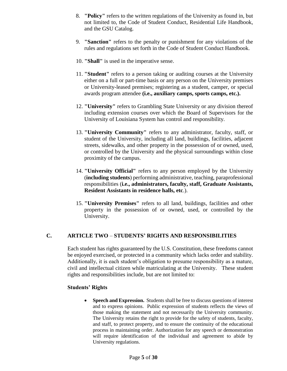- 8. **"Policy"** refers to the written regulations of the University as found in, but not limited to, the Code of Student Conduct, Residential Life Handbook, and the GSU Catalog.
- 9. **"Sanction"** refers to the penalty or punishment for any violations of the rules and regulations set forth in the Code of Student Conduct Handbook.
- 10. **"Shall"** is used in the imperative sense.
- 11. **"Student"** refers to a person taking or auditing courses at the University either on a full or part-time basis or any person on the University premises or University-leased premises; registering as a student, camper, or special awards program attendee **(i.e., auxiliary camps, sports camps, etc.).**
- 12. **"University"** refers to Grambling State University or any division thereof including extension courses over which the Board of Supervisors for the University of Louisiana System has control and responsibility.
- 13. **"University Community"** refers to any administrator, faculty, staff, or student of the University, including all land, buildings, facilities, adjacent streets, sidewalks, and other property in the possession of or owned, used, or controlled by the University and the physical surroundings within close proximity of the campus.
- 14. **"University Official"** refers to any person employed by the University (**including students**) performing administrative, teaching, paraprofessional responsibilities (**i.e., administrators, faculty, staff, Graduate Assistants, Resident Assistants in residence halls, etc**.).
- 15. **"University Premises"** refers to all land, buildings, facilities and other property in the possession of or owned, used, or controlled by the University.

# **C. ARTICLE TWO** – **STUDENTS' RIGHTS AND RESPONSIBILITIES**

Each student has rights guaranteed by the U.S. Constitution, these freedoms cannot be enjoyed exercised, or protected in a community which lacks order and stability. Additionally, it is each student's obligation to presume responsibility as a mature, civil and intellectual citizen while matriculating at the University. These student rights and responsibilities include, but are not limited to:

### **Students' Rights**

 **Speech and Expression.** Students shall be free to discuss questions of interest and to express opinions. Public expression of students reflects the views of those making the statement and not necessarily the University community. The University retains the right to provide for the safety of students, faculty, and staff, to protect property, and to ensure the continuity of the educational process in maintaining order. Authorization for any speech or demonstration will require identification of the individual and agreement to abide by University regulations.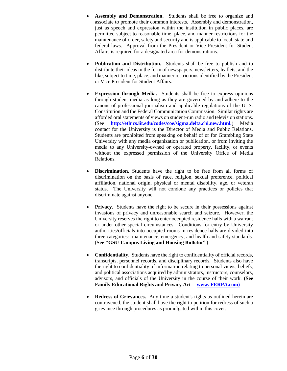- **Assembly and Demonstration.** Students shall be free to organize and associate to promote their common interests. Assembly and demonstration, just as speech and expression within the institution in public places, are permitted subject to reasonable time, place, and manner restrictions for the maintenance of order, safety and security and is applicable to local, state and federal laws. Approval from the President or Vice President for Student Affairs is required for a designated area for demonstrations.
- **Publication and Distribution.** Students shall be free to publish and to distribute their ideas in the form of newspapers, newsletters, leaflets, and the like, subject to time, place, and manner restrictions identified by the President or Vice President for Student Affairs.
- **Expression through Media.** Students shall be free to express opinions through student media as long as they are governed by and adhere to the canons of professional journalism and applicable regulations of the U. S. Constitution and the Federal Communication Commission. Similar rights are afforded oral statements of views on student-run radio and television stations. (See **[http://ethics.iit.edu/codes/coe/sigma.delta.chi.new.html.](http://ethics.iit.edu/codes/coe/sigma.delta.chi.new.html)**) Media contact for the University is the Director of Media and Public Relations. Students are prohibited from speaking on behalf of or for Grambling State University with any media organization or publication, or from inviting the media to any University-owned or operated property, facility, or events without the expressed permission of the University Office of Media Relations.
- **Discrimination.** Students have the right to be free from all forms of discrimination on the basis of race, religion, sexual preference, political affiliation, national origin, physical or mental disability, age, or veteran status. The University will not condone any practices or policies that discriminate against anyone.
- **Privacy.** Students have the right to be secure in their possessions against invasions of privacy and unreasonable search and seizure. However, the University reserves the right to enter occupied residence halls with a warrant or under other special circumstances. Conditions for entry by University authorities/officials into occupied rooms in residence halls are divided into three categories: maintenance, emergency, and health and safety standards. (**See "GSU-Campus Living and Housing Bulletin"**.)
- **Confidentiality.** Students have the right to confidentiality of official records, transcripts, personnel records, and disciplinary records. Students also have the right to confidentiality of information relating to personal views, beliefs, and political associations acquired by administrators, instructors, counselors, advisors, and officials of the University in the course of their work. **(See Family Educational Rights and Privacy Act -- [www. FERPA.com\)](http://www.ferpa.com/)**
- **Redress of Grievances.** Any time a student's rights as outlined herein are contravened, the student shall have the right to petition for redress of such a grievance through procedures as promulgated within this cover.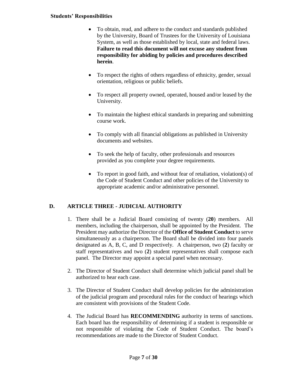#### **Students' Responsibilities**

- To obtain, read, and adhere to the conduct and standards published by the University, Board of Trustees for the University of Louisiana System, as well as those established by local, state and federal laws. **Failure to read this document will not excuse any student from responsibility for abiding by policies and procedures described herein**.
- To respect the rights of others regardless of ethnicity, gender, sexual orientation, religious or public beliefs.
- To respect all property owned, operated, housed and/or leased by the University.
- To maintain the highest ethical standards in preparing and submitting course work.
- To comply with all financial obligations as published in University documents and websites.
- To seek the help of faculty, other professionals and resources provided as you complete your degree requirements.
- To report in good faith, and without fear of retaliation, violation(s) of the Code of Student Conduct and other policies of the University to appropriate academic and/or administrative personnel.

# **D. ARTICLE THREE - JUDICIAL AUTHORITY**

- 1. There shall be a Judicial Board consisting of twenty (**20**) members. All members, including the chairperson, shall be appointed by the President. The President may authorize the Director of the **Office of Student Conduct** to serve simultaneously as a chairperson. The Board shall be divided into four panels designated as A, B, C, and D respectively. A chairperson, two (**2**) faculty or staff representatives and two (**2**) student representatives shall compose each panel. The Director may appoint a special panel when necessary.
- 2. The Director of Student Conduct shall determine which judicial panel shall be authorized to hear each case.
- 3. The Director of Student Conduct shall develop policies for the administration of the judicial program and procedural rules for the conduct of hearings which are consistent with provisions of the Student Code.
- 4. The Judicial Board has **RECOMMENDING** authority in terms of sanctions. Each board has the responsibility of determining if a student is responsible or not responsible of violating the Code of Student Conduct. The board's recommendations are made to the Director of Student Conduct.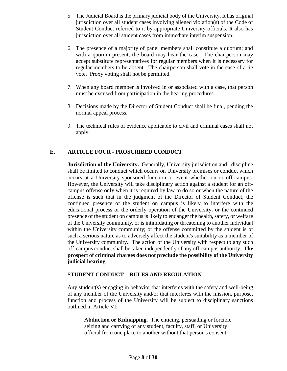- 5. The Judicial Board is the primary judicial body of the University. It has original jurisdiction over all student cases involving alleged violation(s) of the Code of Student Conduct referred to it by appropriate University officials. It also has jurisdiction over all student cases from immediate interim suspension.
- 6. The presence of a majority of panel members shall constitute a quorum; and with a quorum present, the board may hear the case. The chairperson may accept substitute representatives for regular members when it is necessary for regular members to be absent. The chairperson shall vote in the case of a tie vote. Proxy voting shall not be permitted.
- 7. When any board member is involved in or associated with a case, that person must be excused from participation in the hearing procedures.
- 8. Decisions made by the Director of Student Conduct shall be final, pending the normal appeal process.
- 9. The technical rules of evidence applicable to civil and criminal cases shall not apply.

## **E. ARTICLE FOUR - PROSCRIBED CONDUCT**

**Jurisdiction of the University.** Generally, University jurisdiction and discipline shall be limited to conduct which occurs on University premises or conduct which occurs at a University sponsored function or event whether on or off-campus. However, the University will take disciplinary action against a student for an offcampus offense only when it is required by law to do so or when the nature of the offense is such that in the judgment of the Director of Student Conduct, the continued presence of the student on campus is likely to interfere with the educational process or the orderly operation of the University; or the continued presence of the student on campus is likely to endanger the health, safety, or welfare of the University community, or is intimidating or threatening to another individual within the University community; or the offense committed by the student is of such a serious nature as to adversely affect the student's suitability as a member of the University community. The action of the University with respect to any such off-campus conduct shall be taken independently of any off-campus authority. **The prospect of criminal charges does not preclude the possibility of the University judicial hearing**.

### **STUDENT CONDUCT – RULES AND REGULATION**

Any student(s) engaging in behavior that interferes with the safety and well-being of any member of the University and/or that interferes with the mission, purpose, function and process of the University will be subject to disciplinary sanctions outlined in Article VI:

 **Abduction or Kidnapping.** The enticing, persuading or forcible seizing and carrying of any student, faculty, staff, or University official from one place to another without that person's consent.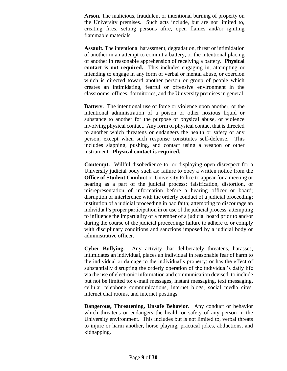**Arson.** The malicious, fraudulent or intentional burning of property on the University premises. Such acts include, but are not limited to, creating fires, setting persons afire, open flames and/or igniting flammable materials.

 **Assault.** The intentional harassment, degradation, threat or intimidation of another in an attempt to commit a battery, or the intentional placing of another in reasonable apprehension of receiving a battery. **Physical contact is not required.** This includes engaging in, attempting or intending to engage in any form of verbal or mental abuse, or coercion which is directed toward another person or group of people which creates an intimidating, fearful or offensive environment in the classrooms, offices, dormitories, and the University premises in general.

**Battery.** The intentional use of force or violence upon another, or the intentional administration of a poison or other noxious liquid or substance to another for the purpose of physical abuse, or violence involving physical contact. Any form of physical contact that is directed to another which threatens or endangers the health or safety of any person, except when such response constitutes self-defense. This includes slapping, pushing, and contact using a weapon or other instrument. **Physical contact is required.**

**Contempt.** Willful disobedience to, or displaying open disrespect for a University judicial body such as: failure to obey a written notice from the **Office of Student Conduct** or University Police to appear for a meeting or hearing as a part of the judicial process; falsification, distortion, or misrepresentation of information before a hearing officer or board; disruption or interference with the orderly conduct of a judicial proceeding; institution of a judicial proceeding in bad faith; attempting to discourage an individual's proper participation in or use of the judicial process; attempting to influence the impartiality of a member of a judicial board prior to and/or during the course of the judicial proceeding; failure to adhere to or comply with disciplinary conditions and sanctions imposed by a judicial body or administrative officer.

**Cyber Bullying.** Any activity that deliberately threatens, harasses, intimidates an individual, places an individual in reasonable fear of harm to the individual or damage to the individual's property; or has the effect of substantially disrupting the orderly operation of the individual's daily life via the use of electronic information and communication devised, to include but not be limited to: e-mail messages, instant messaging, text messaging, cellular telephone communications, internet blogs, social media cites, internet chat rooms, and internet postings.

**Dangerous, Threatening, Unsafe Behavior.** Any conduct or behavior which threatens or endangers the health or safety of any person in the University environment. This includes but is not limited to, verbal threats to injure or harm another, horse playing, practical jokes, abductions, and kidnapping.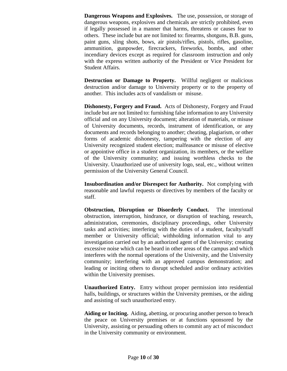**Dangerous Weapons and Explosives.** The use, possession, or storage of dangerous weapons, explosives and chemicals are strictly prohibited, even if legally possessed in a manner that harms, threatens or causes fear to others. These include but are not limited to: firearms, shotguns, B.B. guns, paint guns, sling shots, bows, air pistols/rifles, pistols, rifles, gasoline, ammunition, gunpowder, firecrackers, fireworks, bombs, and other incendiary devices except as required for classroom instruction and only with the express written authority of the President or Vice President for Student Affairs.

**Destruction or Damage to Property.** Willful negligent or malicious destruction and/or damage to University property or to the property of another. This includes acts of vandalism or misuse.

**Dishonesty, Forgery and Fraud.** Acts of Dishonesty, Forgery and Fraud include but are not limited to: furnishing false information to any University official and on any University document; alteration of materials, or misuse of University documents, records, instrument of identification, or any documents and records belonging to another; cheating, plagiarism, or other forms of academic dishonesty, tampering with the election of any University recognized student election; malfeasance or misuse of elective or appointive office in a student organization, its members, or the welfare of the University community; and issuing worthless checks to the University. Unauthorized use of university logo, seal, etc., without written permission of the University General Council.

**Insubordination and/or Disrespect for Authority.** Not complying with reasonable and lawful requests or directives by members of the faculty or staff.

 **Obstruction, Disruption or Disorderly Conduct.** The intentional obstruction, interruption, hindrance, or disruption of teaching, research, administration, ceremonies, disciplinary proceedings, other University tasks and activities; interfering with the duties of a student, faculty/staff member or University official; withholding information vital to any investigation carried out by an authorized agent of the University; creating excessive noise which can be heard in other areas of the campus and which interferes with the normal operations of the University, and the University community; interfering with an approved campus demonstration; and leading or inciting others to disrupt scheduled and/or ordinary activities within the University premises.

**Unauthorized Entry.** Entry without proper permission into residential halls, buildings, or structures within the University premises, or the aiding and assisting of such unauthorized entry.

**Aiding or Inciting.** Aiding, abetting, or procuring another person to breach the peace on University premises or at functions sponsored by the University, assisting or persuading others to commit any act of misconduct in the University community or environment.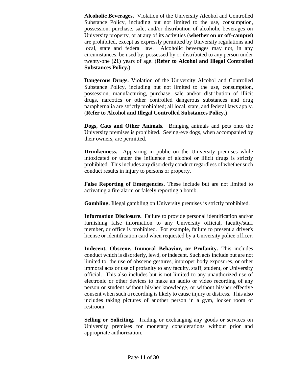**Alcoholic Beverages.** Violation of the University Alcohol and Controlled Substance Policy, including but not limited to the use, consumption, possession, purchase, sale, and/or distribution of alcoholic beverages on University property, or at any of its activities (**whether on or off-campus**) are prohibited, except as expressly permitted by University regulations and local, state and federal law. Alcoholic beverages may not, in any circumstances, be used by, possessed by or distributed to any person under twenty-one (**21**) years of age. (**Refer to Alcohol and Illegal Controlled Substances Policy.**)

**Dangerous Drugs.** Violation of the University Alcohol and Controlled Substance Policy, including but not limited to the use, consumption, possession, manufacturing, purchase, sale and/or distribution of illicit drugs, narcotics or other controlled dangerous substances and drug paraphernalia are strictly prohibited; all local, state, and federal laws apply. (**Refer to Alcohol and Illegal Controlled Substances Policy**.)

**Dogs, Cats and Other Animals.** Bringing animals and pets onto the University premises is prohibited. Seeing-eye dogs, when accompanied by their owners, are permitted.

**Drunkenness.** Appearing in public on the University premises while intoxicated or under the influence of alcohol or illicit drugs is strictly prohibited. This includes any disorderly conduct regardless of whether such conduct results in injury to persons or property.

**False Reporting of Emergencies.** These include but are not limited to activating a fire alarm or falsely reporting a bomb.

**Gambling.** Illegal gambling on University premises is strictly prohibited.

**Information Disclosure.** Failure to provide personal identification and/or furnishing false information to any University official, faculty/staff member, or office is prohibited. For example, failure to present a driver's license or identification card when requested by a University police officer.

**Indecent, Obscene, Immoral Behavior, or Profanity.** This includes conduct which is disorderly, lewd, or indecent. Such acts include but are not limited to: the use of obscene gestures, improper body exposures, or other immoral acts or use of profanity to any faculty, staff, student, or University official. This also includes but is not limited to any unauthorized use of electronic or other devices to make an audio or video recording of any person or student without his/her knowledge, or without his/her effective consent when such a recording is likely to cause injury or distress. This also includes taking pictures of another person in a gym, locker room or restroom.

**Selling or Soliciting.** Trading or exchanging any goods or services on University premises for monetary considerations without prior and appropriate authorization.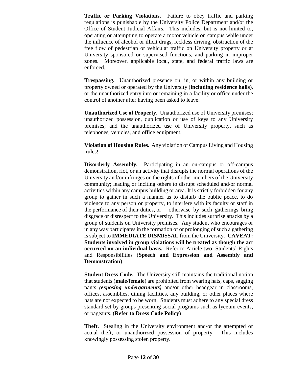**Traffic or Parking Violations.** Failure to obey traffic and parking regulations is punishable by the University Police Department and/or the Office of Student Judicial Affairs. This includes, but is not limited to, operating or attempting to operate a motor vehicle on campus while under the influence of alcohol or illicit drugs, reckless driving, obstruction of the free flow of pedestrian or vehicular traffic on University property or at University sponsored or supervised functions, and parking in improper zones. Moreover, applicable local, state, and federal traffic laws are enforced.

**Trespassing.** Unauthorized presence on, in, or within any building or property owned or operated by the University (**including residence halls**), or the unauthorized entry into or remaining in a facility or office under the control of another after having been asked to leave.

**Unauthorized Use of Property.** Unauthorized use of University premises; unauthorized possession, duplication or use of keys to any University premises; and the unauthorized use of University property, such as telephones, vehicles, and office equipment.

**Violation of Housing Rules.** Any violation of Campus Living and Housing rules!

**Disorderly Assembly.** Participating in an on-campus or off-campus demonstration, riot, or an activity that disrupts the normal operations of the University and/or infringes on the rights of other members of the University community; leading or inciting others to disrupt scheduled and/or normal activities within any campus building or area. It is strictly forbidden for any group to gather in such a manner as to disturb the public peace, to do violence to any person or property, to interfere with its faculty or staff in the performance of their duties, or otherwise by such gatherings bring disgrace or disrespect to the University. This includes surprise attacks by a group of students on University premises. Any student who encourages or in any way participates in the formation of or prolonging of such a gathering is subject to **IMMEDIATE DISMISSAL** from the University. **CAVEAT: Students involved in group violations will be treated as though the act occurred on an individual basis.** Refer to Article two: Students' Rights and Responsibilities (**Speech and Expression and Assembly and Demonstration**).

**Student Dress Code.** The University still maintains the traditional notion that students (**male/female**) are prohibited from wearing hats, caps, sagging pants *(exposing undergarments)* and**/**or other headgear in classrooms, offices, assemblies, dining facilities, any building, or other places where hats are not expected to be worn. Students must adhere to any special dress standard set by groups presenting social programs such as lyceum events, or pageants. (**Refer to Dress Code Policy**)

**Theft.** Stealing in the University environment and/or the attempted or actual theft, or unauthorized possession of property. This includes knowingly possessing stolen property.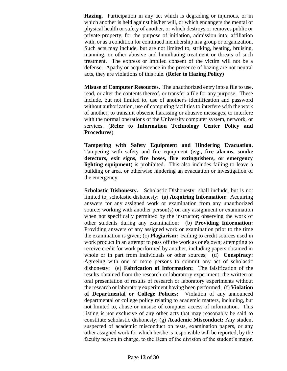**Hazing.** Participation in any act which is degrading or injurious, or in which another is held against his/her will, or which endangers the mental or physical health or safety of another, or which destroys or removes public or private property, for the purpose of initiation, admission into, affiliation with, or as a condition for continued membership in a group or organization. Such acts may include, but are not limited to, striking, beating, bruising, manning, or other abusive and humiliating treatment or threats of such treatment. The express or implied consent of the victim will not be a defense. Apathy or acquiescence in the presence of hazing are not neutral acts, they are violations of this rule. (**Refer to Hazing Policy**)

**Misuse of Computer Resources.** The unauthorized entry into a file to use, read, or alter the contents thereof, or transfer a file for any purpose. These include, but not limited to, use of another's identification and password without authorization, use of computing facilities to interfere with the work of another, to transmit obscene harassing or abusive messages, to interfere with the normal operations of the University computer system, network, or services. (**Refer to Information Technology Center Policy and Procedures**)

**Tampering with Safety Equipment and Hindering Evacuation.** Tampering with safety and fire equipment (**e.g., fire alarms, smoke detectors, exit signs, fire hoses, fire extinguishers, or emergency lighting equipment**) is prohibited. This also includes failing to leave a building or area, or otherwise hindering an evacuation or investigation of the emergency.

**Scholastic Dishonesty.** Scholastic Dishonesty shall include, but is not limited to, scholastic dishonesty: (a) **Acquiring Information:** Acquiring answers for any assigned work or examination from any unauthorized source; working with another person(s) on any assignment or examination when not specifically permitted by the instructor; observing the work of other students during any examination; (b) **Providing Information:** Providing answers of any assigned work or examination prior to the time the examination is given; (c) **Plagiarism:** Failing to credit sources used in work product in an attempt to pass off the work as one's own; attempting to receive credit for work performed by another, including papers obtained in whole or in part from individuals or other sources; (d) **Conspiracy:** Agreeing with one or more persons to commit any act of scholastic dishonesty; (e) **Fabrication of Information:** The falsification of the results obtained from the research or laboratory experiment; the written or oral presentation of results of research or laboratory experiments without the research or laboratory experiment having been performed; (f) **Violation of Departmental or College Policies:** Violation of any announced departmental or college policy relating to academic matters, including, but not limited to, abuse or misuse of computer access of information. This listing is not exclusive of any other acts that may reasonably be said to constitute scholastic dishonesty; (g) **Academic Misconduct:** Any student suspected of academic misconduct on tests, examination papers, or any other assigned work for which he/she is responsible will be reported, by the faculty person in charge, to the Dean of the division of the student's major.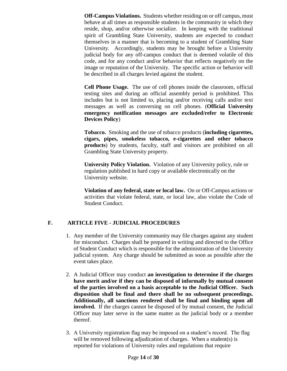**Off-Campus Violations.** Students whether residing on or off campus, must behave at all times as responsible students in the community in which they reside, shop, and/or otherwise socialize. In keeping with the traditional spirit of Grambling State University, students are expected to conduct themselves in a manner that is becoming to a student of Grambling State University. Accordingly, students may be brought before a University judicial body for any off-campus conduct that is deemed volatile of this code, and for any conduct and/or behavior that reflects negatively on the image or reputation of the University. The specific action or behavior will be described in all charges levied against the student.

**Cell Phone Usage.** The use of cell phones inside the classroom, official testing sites and during an official assembly period is prohibited. This includes but is not limited to, placing and/or receiving calls and/or text messages as well as conversing on cell phones. (**Official University emergency notification messages are excluded/refer to Electronic Devices Policy**)

**Tobacco.** Smoking and the use of tobacco products (**including cigarettes, cigars, pipes, smokeless tobacco, e-cigarettes and other tobacco products**) by students, faculty, staff and visitors are prohibited on all Grambling State University property.

**University Policy Violation.** Violation of any University policy, rule or regulation published in hard copy or available electronically on the University website.

**Violation of any federal, state or local law.** On or Off-Campus actions or activities that violate federal, state, or local law, also violate the Code of Student Conduct.

### **F. ARTICLE FIVE - JUDICIAL PROCEDURES**

- 1. Any member of the University community may file charges against any student for misconduct. Charges shall be prepared in writing and directed to the Office of Student Conduct which is responsible for the administration of the University judicial system. Any charge should be submitted as soon as possible after the event takes place.
- 2. A Judicial Officer may conduct **an investigation to determine if the charges have merit and/or if they can be disposed of informally by mutual consent of the parties involved on a basis acceptable to the Judicial Officer. Such disposition shall be final and there shall be no subsequent proceedings. Additionally, all sanctions rendered shall be final and binding upon all involved.** If the charges cannot be disposed of by mutual consent, the Judicial Officer may later serve in the same matter as the judicial body or a member thereof.
- 3. A University registration flag may be imposed on a student's record. The flag will be removed following adjudication of charges. When a student (s) is reported for violations of University rules and regulations that require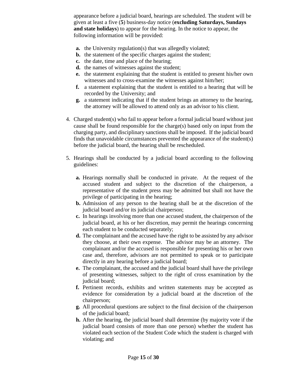appearance before a judicial board, hearings are scheduled. The student will be given at least a five (**5**) business-day notice (**excluding Saturdays, Sundays and state holidays**) to appear for the hearing. In the notice to appear, the following information will be provided:

- **a.** the University regulation(s) that was allegedly violated;
- **b.** the statement of the specific charges against the student;
- **c.** the date, time and place of the hearing;
- **d.** the names of witnesses against the student;
- **e.** the statement explaining that the student is entitled to present his/her own witnesses and to cross-examine the witnesses against him/her;
- **f.** a statement explaining that the student is entitled to a hearing that will be recorded by the University; and
- **g.** a statement indicating that if the student brings an attorney to the hearing, the attorney will be allowed to attend only as an advisor to his client.
- 4. Charged student(s) who fail to appear before a formal judicial board without just cause shall be found responsible for the charge(s) based only on input from the charging party, and disciplinary sanctions shall be imposed. If the judicial board finds that unavoidable circumstances prevented the appearance of the student(s) before the judicial board, the hearing shall be rescheduled.
- 5. Hearings shall be conducted by a judicial board according to the following guidelines:
	- **a.** Hearings normally shall be conducted in private. At the request of the accused student and subject to the discretion of the chairperson, a representative of the student press may be admitted but shall not have the privilege of participating in the hearing;
	- **b.** Admission of any person to the hearing shall be at the discretion of the judicial board and/or its judicial chairperson;
	- **c.** In hearings involving more than one accused student, the chairperson of the judicial board, at his or her discretion, may permit the hearings concerning each student to be conducted separately;
	- **d.** The complainant and the accused have the right to be assisted by any advisor they choose, at their own expense. The advisor may be an attorney. The complainant and/or the accused is responsible for presenting his or her own case and, therefore, advisors are not permitted to speak or to participate directly in any hearing before a judicial board;
	- **e.** The complainant, the accused and the judicial board shall have the privilege of presenting witnesses, subject to the right of cross examination by the judicial board;
	- **f.** Pertinent records, exhibits and written statements may be accepted as evidence for consideration by a judicial board at the discretion of the chairperson;
	- **g.** All procedural questions are subject to the final decision of the chairperson of the judicial board;
	- **h.** After the hearing, the judicial board shall determine (by majority vote if the judicial board consists of more than one person) whether the student has violated each section of the Student Code which the student is charged with violating; and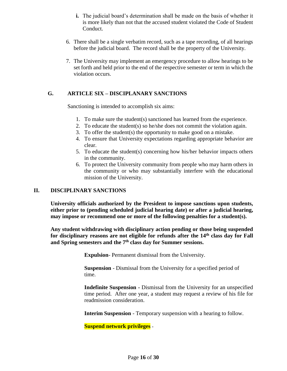- **i.** The judicial board's determination shall be made on the basis of whether it is more likely than not that the accused student violated the Code of Student Conduct.
- 6. There shall be a single verbatim record, such as a tape recording, of all hearings before the judicial board. The record shall be the property of the University.
- 7. The University may implement an emergency procedure to allow hearings to be set forth and held prior to the end of the respective semester or term in which the violation occurs.

#### **G. ARTICLE SIX – DISCIPLANARY SANCTIONS**

Sanctioning is intended to accomplish six aims:

- 1. To make sure the student(s) sanctioned has learned from the experience.
- 2. To educate the student(s) so he/she does not commit the violation again.
- 3. To offer the student(s) the opportunity to make good on a mistake.
- 4. To ensure that University expectations regarding appropriate behavior are clear.
- 5. To educate the student(s) concerning how his/her behavior impacts others in the community.
- 6. To protect the University community from people who may harm others in the community or who may substantially interfere with the educational mission of the University.

#### **II. DISCIPLINARY SANCTIONS**

**University officials authorized by the President to impose sanctions upon students, either prior to (pending scheduled judicial hearing date) or after a judicial hearing, may impose or recommend one or more of the following penalties for a student(s).**

**Any student withdrawing with disciplinary action pending or those being suspended for disciplinary reasons are not eligible for refunds after the 14th class day for Fall and Spring semesters and the 7 th class day for Summer sessions.**

**Expulsion**- Permanent dismissal from the University.

 **Suspension** - Dismissal from the University for a specified period of time.

**Indefinite Suspension -** Dismissal from the University for an unspecified time period. After one year, a student may request a review of his file for readmission consideration.

**Interim Suspension** - Temporary suspension with a hearing to follow.

**Suspend network privileges -**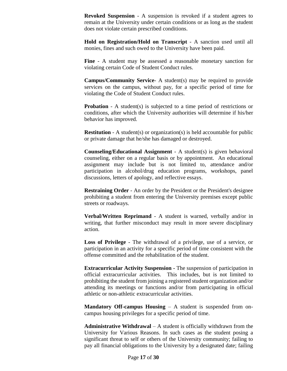**Revoked Suspension** - A suspension is revoked if a student agrees to remain at the University under certain conditions or as long as the student does not violate certain prescribed conditions.

**Hold on Registration/Hold on Transcript** - A sanction used until all monies, fines and such owed to the University have been paid.

**Fine** - A student may be assessed a reasonable monetary sanction for violating certain Code of Student Conduct rules.

**Campus/Community Service**- A student(s) may be required to provide services on the campus, without pay, for a specific period of time for violating the Code of Student Conduct rules.

**Probation** - A student(s) is subjected to a time period of restrictions or conditions, after which the University authorities will determine if his/her behavior has improved.

**Restitution** - A student(s) or organization(s) is held accountable for public or private damage that he/she has damaged or destroyed.

**Counseling/Educational Assignment** - A student(s) is given behavioral counseling, either on a regular basis or by appointment. An educational assignment may include but is not limited to, attendance and/or participation in alcohol/drug education programs, workshops, panel discussions, letters of apology, and reflective essays.

**Restraining Order** - An order by the President or the President's designee prohibiting a student from entering the University premises except public streets or roadways.

**Verbal/Written Reprimand** - A student is warned, verbally and/or in writing, that further misconduct may result in more severe disciplinary action.

**Loss of Privilege** - The withdrawal of a privilege, use of a service, or participation in an activity for a specific period of time consistent with the offense committed and the rehabilitation of the student.

**Extracurricular Activity Suspension -** The suspension of participation in official extracurricular activities. This includes, but is not limited to prohibiting the student from joining a registered student organization and/or attending its meetings or functions and/or from participating in official athletic or non-athletic extracurricular activities.

**Mandatory Off-campus Housing** – A student is suspended from oncampus housing privileges for a specific period of time.

 **Administrative Withdrawal** – A student is officially withdrawn from the University for Various Reasons. In such cases as the student posing a significant threat to self or others of the University community; failing to pay all financial obligations to the University by a designated date; failing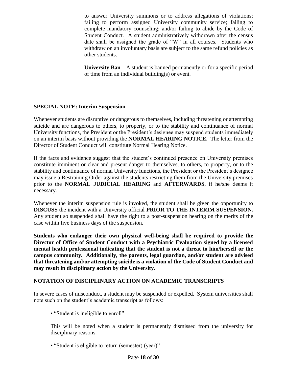to answer University summons or to address allegations of violations; failing to perform assigned University community service; failing to complete mandatory counseling; and/or failing to abide by the Code of Student Conduct. A student administratively withdrawn after the census date shall be assigned the grade of "W" in all courses. Students who withdraw on an involuntary basis are subject to the same refund policies as other students.

**University Ban** – A student is banned permanently or for a specific period of time from an individual building(s) or event.

### **SPECIAL NOTE: Interim Suspension**

Whenever students are disruptive or dangerous to themselves, including threatening or attempting suicide and are dangerous to others, to property, or to the stability and continuance of normal University functions, the President or the President's designee may suspend students immediately on an interim basis without providing the **NORMAL HEARING NOTICE.** The letter from the Director of Student Conduct will constitute Normal Hearing Notice.

If the facts and evidence suggest that the student's continued presence on University premises constitute imminent or clear and present danger to themselves, to others, to property, or to the stability and continuance of normal University functions, the President or the President's designee may issue a Restraining Order against the students restricting them from the University premises prior to the **NORMAL JUDICIAL HEARING** and **AFTERWARDS**, if he/she deems it necessary.

Whenever the interim suspension rule is invoked, the student shall be given the opportunity to **DISCUSS** the incident with a University official **PRIOR TO THE INTERIM SUSPENSION.** Any student so suspended shall have the right to a post-suspension hearing on the merits of the case within five business days of the suspension.

**Students who endanger their own physical well-being shall be required to provide the Director of Office of Student Conduct with a Psychiatric Evaluation signed by a licensed mental health professional indicating that the student is not a threat to him/herself or the campus community. Additionally, the parents, legal guardian, and/or student are advised that threatening and/or attempting suicide is a violation of the Code of Student Conduct and may result in disciplinary action by the University.**

### **NOTATION OF DISCIPLINARY ACTION ON ACADEMIC TRANSCRIPTS**

In severe cases of misconduct, a student may be suspended or expelled. System universities shall note such on the student's academic transcript as follows:

• "Student is ineligible to enroll"

This will be noted when a student is permanently dismissed from the university for disciplinary reasons.

• "Student is eligible to return (semester) (year)"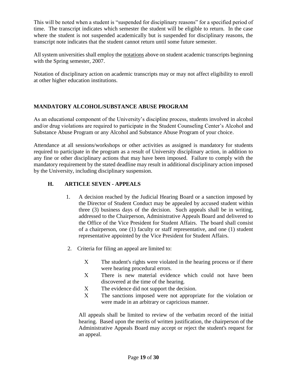This will be noted when a student is "suspended for disciplinary reasons" for a specified period of time. The transcript indicates which semester the student will be eligible to return. In the case where the student is not suspended academically but is suspended for disciplinary reasons, the transcript note indicates that the student cannot return until some future semester.

All system universities shall employ the [notations](http://www.ulsystem.net/assets/docs/searchable/boards/ppm_disciplinary_notation_06_06_new.pdf) above on student academic transcripts beginning with the Spring semester, 2007.

Notation of disciplinary action on academic transcripts may or may not affect eligibility to enroll at other higher education institutions.

## **MANDATORY ALCOHOL/SUBSTANCE ABUSE PROGRAM**

As an educational component of the University's discipline process, students involved in alcohol and/or drug violations are required to participate in the Student Counseling Center's Alcohol and Substance Abuse Program or any Alcohol and Substance Abuse Program of your choice.

Attendance at all sessions/workshops or other activities as assigned is mandatory for students required to participate in the program as a result of University disciplinary action, in addition to any fine or other disciplinary actions that may have been imposed. Failure to comply with the mandatory requirement by the stated deadline may result in additional disciplinary action imposed by the University, including disciplinary suspension.

# **H. ARTICLE SEVEN - APPEALS**

- 1. A decision reached by the Judicial Hearing Board or a sanction imposed by the Director of Student Conduct may be appealed by accused student within three (3) business days of the decision. Such appeals shall be in writing, addressed to the Chairperson, Administrative Appeals Board and delivered to the Office of the Vice President for Student Affairs. The board shall consist of a chairperson, one (1) faculty or staff representative, and one (1) student representative appointed by the Vice President for Student Affairs.
- 2. Criteria for filing an appeal are limited to:
	- X The student's rights were violated in the hearing process or if there were hearing procedural errors.
	- X There is new material evidence which could not have been discovered at the time of the hearing.
	- X The evidence did not support the decision.
	- X The sanctions imposed were not appropriate for the violation or were made in an arbitrary or capricious manner.

All appeals shall be limited to review of the verbatim record of the initial hearing. Based upon the merits of written justification, the chairperson of the Administrative Appeals Board may accept or reject the student's request for an appeal.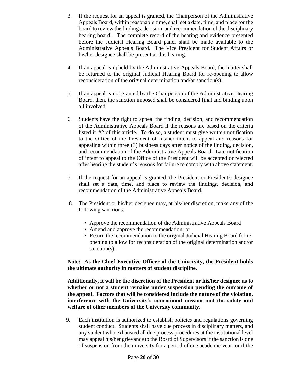- 3. If the request for an appeal is granted, the Chairperson of the Administrative Appeals Board, within reasonable time, shall set a date, time, and place for the board to review the findings, decision, and recommendation of the disciplinary hearing board. The complete record of the hearing and evidence presented before the Judicial Hearing Board panel shall be made available to the Administrative Appeals Board. The Vice President for Student Affairs or his/her designee shall be present at this hearing.
- 4. If an appeal is upheld by the Administrative Appeals Board, the matter shall be returned to the original Judicial Hearing Board for re-opening to allow reconsideration of the original determination and/or sanction(s).
- 5. If an appeal is not granted by the Chairperson of the Administrative Hearing Board, then, the sanction imposed shall be considered final and binding upon all involved.
- 6. Students have the right to appeal the finding, decision, and recommendation of the Administrative Appeals Board if the reasons are based on the criteria listed in #2 of this article. To do so, a student must give written notification to the Office of the President of his/her intent to appeal and reasons for appealing within three (3) business days after notice of the finding, decision, and recommendation of the Administrative Appeals Board. Late notification of intent to appeal to the Office of the President will be accepted or rejected after hearing the student's reasons for failure to comply with above statement.
- 7. If the request for an appeal is granted, the President or President's designee shall set a date, time, and place to review the findings, decision, and recommendation of the Administrative Appeals Board.
- 8. The President or his/her designee may, at his/her discretion, make any of the following sanctions:
	- Approve the recommendation of the Administrative Appeals Board
	- Amend and approve the recommendation; or
	- Return the recommendation to the original Judicial Hearing Board for reopening to allow for reconsideration of the original determination and/or sanction(s).

**Note: As the Chief Executive Officer of the University, the President holds the ultimate authority in matters of student discipline.** 

**Additionally, it will be the discretion of the President or his/her designee as to whether or not a student remains under suspension pending the outcome of the appeal. Factors that will be considered include the nature of the violation, interference with the University's educational mission and the safety and welfare of other members of the University community.**

 9. Each institution is authorized to establish policies and regulations governing student conduct. Students shall have due process in disciplinary matters, and any student who exhausted all due process procedures at the institutional level may appeal his/her grievance to the Board of Supervisors if the sanction is one of suspension from the university for a period of one academic year, or if the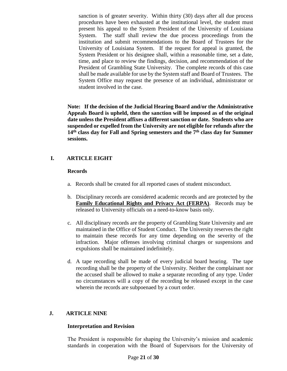sanction is of greater severity. Within thirty (30) days after all due process procedures have been exhausted at the institutional level, the student must present his appeal to the System President of the University of Louisiana System. The staff shall review the due process proceedings from the institution and submit recommendations to the Board of Trustees for the University of Louisiana System. If the request for appeal is granted, the System President or his designee shall, within a reasonable time, set a date, time, and place to review the findings, decision, and recommendation of the President of Grambling State University. The complete records of this case shall be made available for use by the System staff and Board of Trustees. The System Office may request the presence of an individual, administrator or student involved in the case.

**Note: If the decision of the Judicial Hearing Board and/or the Administrative Appeals Board is upheld, then the sanction will be imposed as of the original date unless the President affixes a different sanction or date. Students who are suspended or expelled from the University are not eligible for refunds after the 14th class day for Fall and Spring semesters and the 7 th class day for Summer sessions.**

## **I. ARTICLE EIGHT**

#### **Records**

- a. Records shall be created for all reported cases of student misconduct.
- b. Disciplinary records are considered academic records and are protected by the **[Family Educational Rights and Privacy Act \(FERPA\)](http://www.ed.gov/policy/gen/guid/fpco/ferpa/index.html)**. Records may be released to University officials on a need-to-know basis only.
- c. All disciplinary records are the property of Grambling State University and are maintained in the Office of Student Conduct. The University reserves the right to maintain these records for any time depending on the severity of the infraction. Major offenses involving criminal charges or suspensions and expulsions shall be maintained indefinitely.
- d. A tape recording shall be made of every judicial board hearing. The tape recording shall be the property of the University. Neither the complainant nor the accused shall be allowed to make a separate recording of any type. Under no circumstances will a copy of the recording be released except in the case wherein the records are subpoenaed by a court order.

### **J. ARTICLE NINE**

#### **Interpretation and Revision**

The President is responsible for shaping the University's mission and academic standards in cooperation with the Board of Supervisors for the University of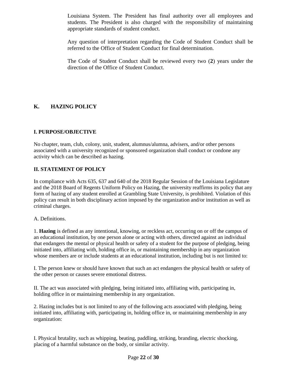Louisiana System. The President has final authority over all employees and students. The President is also charged with the responsibility of maintaining appropriate standards of student conduct.

Any question of interpretation regarding the Code of Student Conduct shall be referred to the Office of Student Conduct for final determination.

The Code of Student Conduct shall be reviewed every two (**2**) years under the direction of the Office of Student Conduct.

# **K. HAZING POLICY**

### **I. PURPOSE/OBJECTIVE**

No chapter, team, club, colony, unit, student, alumnus/alumna, advisers, and/or other persons associated with a university recognized or sponsored organization shall conduct or condone any activity which can be described as hazing.

#### **II. STATEMENT OF POLICY**

In compliance with Acts 635, 637 and 640 of the 2018 Regular Session of the Louisiana Legislature and the 2018 Board of Regents Uniform Policy on Hazing, the university reaffirms its policy that any form of hazing of any student enrolled at Grambling State University, is prohibited. Violation of this policy can result in both disciplinary action imposed by the organization and/or institution as well as criminal charges.

#### A. Definitions.

1. **Hazing** is defined as any intentional, knowing, or reckless act, occurring on or off the campus of an educational institution, by one person alone or acting with others, directed against an individual that endangers the mental or physical health or safety of a student for the purpose of pledging, being initiated into, affiliating with, holding office in, or maintaining membership in any organization whose members are or include students at an educational institution, including but is not limited to:

I. The person knew or should have known that such an act endangers the physical health or safety of the other person or causes severe emotional distress.

II. The act was associated with pledging, being initiated into, affiliating with, participating in, holding office in or maintaining membership in any organization.

2. Hazing includes but is not limited to any of the following acts associated with pledging, being initiated into, affiliating with, participating in, holding office in, or maintaining membership in any organization:

I. Physical brutality, such as whipping, beating, paddling, striking, branding, electric shocking, placing of a harmful substance on the body, or similar activity.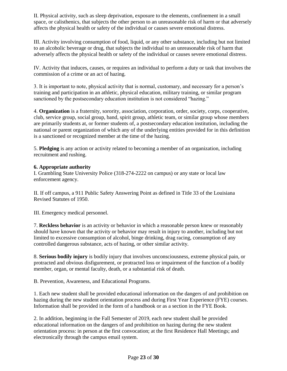II. Physical activity, such as sleep deprivation, exposure to the elements, confinement in a small space, or calisthenics, that subjects the other person to an unreasonable risk of harm or that adversely affects the physical health or safety of the individual or causes severe emotional distress.

III. Activity involving consumption of food, liquid, or any other substance, including but not limited to an alcoholic beverage or drug, that subjects the individual to an unreasonable risk of harm that adversely affects the physical health or safety of the individual or causes severe emotional distress.

IV. Activity that induces, causes, or requires an individual to perform a duty or task that involves the commission of a crime or an act of hazing.

3. It is important to note, physical activity that is normal, customary, and necessary for a person's training and participation in an athletic, physical education, military training, or similar program sanctioned by the postsecondary education institution is not considered "hazing."

4. **Organization** is a fraternity, sorority, association, corporation, order, society, corps, cooperative, club, service group, social group, band, spirit group, athletic team, or similar group whose members are primarily students at, or former students of, a postsecondary education institution, including the national or parent organization of which any of the underlying entities provided for in this definition is a sanctioned or recognized member at the time of the hazing.

5. **Pledging** is any action or activity related to becoming a member of an organization, including recruitment and rushing.

#### **6. Appropriate authority**

I. Grambling State University Police (318-274-2222 on campus) or any state or local law enforcement agency.

II. If off campus, a 911 Public Safety Answering Point as defined in Title 33 of the Louisiana Revised Statutes of 1950.

III. Emergency medical personnel.

7. **Reckless behavior** is an activity or behavior in which a reasonable person knew or reasonably should have known that the activity or behavior may result in injury to another, including but not limited to excessive consumption of alcohol, binge drinking, drag racing, consumption of any controlled dangerous substance, acts of hazing, or other similar activity.

8. **Serious bodily injury** is bodily injury that involves unconsciousness, extreme physical pain, or protracted and obvious disfigurement, or protracted loss or impairment of the function of a bodily member, organ, or mental faculty, death, or a substantial risk of death.

B. Prevention, Awareness, and Educational Programs.

1. Each new student shall be provided educational information on the dangers of and prohibition on hazing during the new student orientation process and during First Year Experience (FYE) courses. Information shall be provided in the form of a handbook or as a section in the FYE Book.

2. In addition, beginning in the Fall Semester of 2019, each new student shall be provided educational information on the dangers of and prohibition on hazing during the new student orientation process: in person at the first convocation; at the first Residence Hall Meetings; and electronically through the campus email system.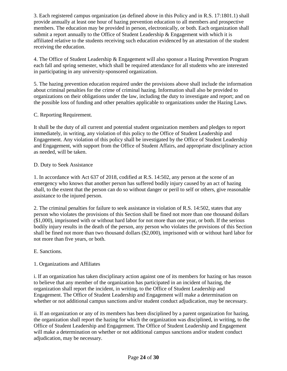3. Each registered campus organization (as defined above in this Policy and in R.S. 17:1801.1) shall provide annually at least one hour of hazing prevention education to all members and prospective members. The education may be provided in person, electronically, or both. Each organization shall submit a report annually to the Office of Student Leadership & Engagement with which it is affiliated relative to the students receiving such education evidenced by an attestation of the student receiving the education.

4. The Office of Student Leadership & Engagement will also sponsor a Hazing Prevention Program each fall and spring semester, which shall be required attendance for all students who are interested in participating in any university-sponsored organization.

5. The hazing prevention education required under the provisions above shall include the information about criminal penalties for the crime of criminal hazing. Information shall also be provided to organizations on their obligations under the law, including the duty to investigate and report; and on the possible loss of funding and other penalties applicable to organizations under the Hazing Laws.

#### C. Reporting Requirement.

It shall be the duty of all current and potential student organization members and pledges to report immediately, in writing, any violation of this policy to the Office of Student Leadership and Engagement. Any violation of this policy shall be investigated by the Office of Student Leadership and Engagement, with support from the Office of Student Affairs, and appropriate disciplinary action as needed, will be taken.

#### D. Duty to Seek Assistance

1. In accordance with Act 637 of 2018, codified at R.S. 14:502, any person at the scene of an emergency who knows that another person has suffered bodily injury caused by an act of hazing shall, to the extent that the person can do so without danger or peril to self or others, give reasonable assistance to the injured person.

2. The criminal penalties for failure to seek assistance in violation of R.S. 14:502, states that any person who violates the provisions of this Section shall be fined not more than one thousand dollars (\$1,000), imprisoned with or without hard labor for not more than one year, or both. If the serious bodily injury results in the death of the person, any person who violates the provisions of this Section shall be fined not more than two thousand dollars (\$2,000), imprisoned with or without hard labor for not more than five years, or both.

### E. Sanctions.

### 1. Organizations and Affiliates

i. If an organization has taken disciplinary action against one of its members for hazing or has reason to believe that any member of the organization has participated in an incident of hazing, the organization shall report the incident, in writing, to the Office of Student Leadership and Engagement. The Office of Student Leadership and Engagement will make a determination on whether or not additional campus sanctions and/or student conduct adjudication, may be necessary.

ii. If an organization or any of its members has been disciplined by a parent organization for hazing, the organization shall report the hazing for which the organization was disciplined, in writing, to the Office of Student Leadership and Engagement. The Office of Student Leadership and Engagement will make a determination on whether or not additional campus sanctions and/or student conduct adjudication, may be necessary.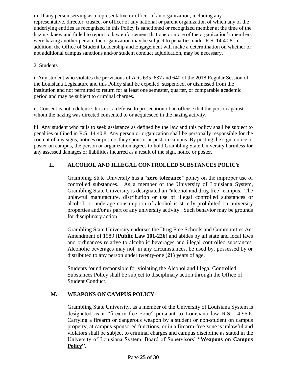iii. If any person serving as a representative or officer of an organization, including any representative, director, trustee, or officer of any national or parent organization of which any of the underlying entities as recognized in this Policy is sanctioned or recognized member at the time of the hazing, knew and failed to report to law enforcement that one or more of the organization's members were hazing another person, the organization may be subject to penalties under R.S. 14:40.8. In addition, the Office of Student Leadership and Engagement will make a determination on whether or not additional campus sanctions and/or student conduct adjudication, may be necessary.

#### 2. Students

i. Any student who violates the provisions of Acts 635, 637 and 640 of the 2018 Regular Session of the Louisiana Legislature and this Policy shall be expelled, suspended, or dismissed from the institution and not permitted to return for at least one semester, quarter, or comparable academic period and may be subject to criminal charges.

ii. Consent is not a defense. It is not a defense to prosecution of an offense that the person against whom the hazing was directed consented to or acquiesced in the hazing activity.

iii. Any student who fails to seek assistance as defined by the law and this policy shall be subject to penalties outlined in R.S. 14:40.8. Any person or organization shall be personally responsible for the content of any signs, notices or posters they sponsor or post on campus. By posting the sign, notice or poster on campus, the person or organization agrees to hold Grambling State University harmless for any assessed damages or liabilities incurred as a result of the sign, notice or poster.

## **L. ALCOHOL AND ILLEGAL CONTROLLED SUBSTANCES POLICY**

Grambling State University has a "**zero tolerance**" policy on the improper use of controlled substances. As a member of the University of Louisiana System, Grambling State University is designated an "alcohol and drug free" campus. The unlawful manufacture, distribution or use of illegal controlled substances or alcohol, or underage consumption of alcohol is strictly prohibited on university properties and/or as part of any university activity. Such behavior may be grounds for disciplinary action.

Grambling State University endorses the Drug Free Schools and Communities Act Amendment of 1989 (**Public Law 101-226**) and abides by all state and local laws and ordinances relative to alcoholic beverages and illegal controlled substances. Alcoholic beverages may not, in any circumstances, be used by, possessed by or distributed to any person under twenty-one (**21**) years of age.

Students found responsible for violating the Alcohol and Illegal Controlled Substances Policy shall be subject to disciplinary action through the Office of Student Conduct.

### **M. WEAPONS ON CAMPUS POLICY**

Grambling State University, as a member of the University of Louisiana System is designated as a "firearm-free zone" pursuant to Louisiana law R.S. 14:96.6. Carrying a firearm or dangerous weapon by a student or non-student on campus property, at campus-sponsored functions, or in a firearm-free zone is unlawful and violators shall be subject to criminal charges and campus discipline as stated in the University of Louisiana System, Board of Supervisors' "**[Weapons on Campus](http://www.ulsystem.net/assets/docs/searchable/boards/ppm_weapons_on_campus.pdf)  [Policy"](http://www.ulsystem.net/assets/docs/searchable/boards/ppm_weapons_on_campus.pdf).**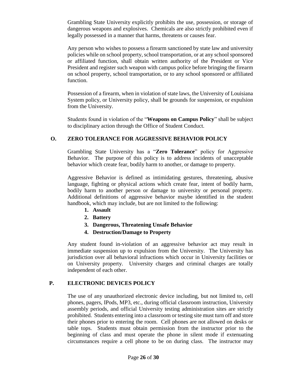Grambling State University explicitly prohibits the use, possession, or storage of dangerous weapons and explosives. Chemicals are also strictly prohibited even if legally possessed in a manner that harms, threatens or causes fear.

Any person who wishes to possess a firearm sanctioned by state law and university policies while on school property, school transportation, or at any school sponsored or affiliated function, shall obtain written authority of the President or Vice President and register such weapon with campus police before bringing the firearm on school property, school transportation, or to any school sponsored or affiliated function.

Possession of a firearm, when in violation of state laws, the University of Louisiana System policy, or University policy, shall be grounds for suspension, or expulsion from the University.

Students found in violation of the "**Weapons on Campus Policy**" shall be subject to disciplinary action through the Office of Student Conduct.

## **O. ZERO TOLERANCE FOR AGGRESSIVE BEHAVIOR POLICY**

Grambling State University has a "**Zero Tolerance**" policy for Aggressive Behavior. The purpose of this policy is to address incidents of unacceptable behavior which create fear, bodily harm to another, or damage to property.

Aggressive Behavior is defined as intimidating gestures, threatening, abusive language, fighting or physical actions which create fear, intent of bodily harm, bodily harm to another person or damage to university or personal property. Additional definitions of aggressive behavior maybe identified in the student handbook, which may include, but are not limited to the following:

- **1. Assault**
- **2. Battery**
- **3. Dangerous, Threatening Unsafe Behavior**
- **4. Destruction/Damage to Property**

Any student found in-violation of an aggressive behavior act may result in immediate suspension up to expulsion from the University. The University has jurisdiction over all behavioral infractions which occur in University facilities or on University property. University charges and criminal charges are totally independent of each other.

### **P. ELECTRONIC DEVICES POLICY**

The use of any unauthorized electronic device including, but not limited to, cell phones, pagers, IPods, MP3, etc., during official classroom instruction, University assembly periods, and official University testing administration sites are strictly prohibited. Students entering into a classroom or testing site must turn off and store their phones prior to entering the room. Cell phones are not allowed on desks or table tops. Students must obtain permission from the instructor prior to the beginning of class and must operate the phone in silent mode if extenuating circumstances require a cell phone to be on during class. The instructor may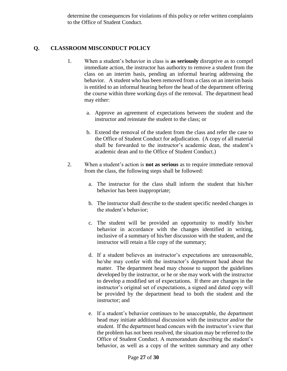determine the consequences for violations of this policy or refer written complaints to the Office of Student Conduct.

### **Q. CLASSROOM MISCONDUCT POLICY**

- 1. When a student's behavior in class is **as seriously** disruptive as to compel immediate action, the instructor has authority to remove a student from the class on an interim basis, pending an informal hearing addressing the behavior. A student who has been removed from a class on an interim basis is entitled to an informal hearing before the head of the department offering the course within three working days of the removal. The department head may either:
	- a. Approve an agreement of expectations between the student and the instructor and reinstate the student to the class; or
	- b. Extend the removal of the student from the class and refer the case to the Office of Student Conduct for adjudication. (A copy of all material shall be forwarded to the instructor's academic dean, the student's academic dean and to the Office of Student Conduct.)
- 2. When a student's action is **not as serious** as to require immediate removal from the class, the following steps shall be followed:
	- a. The instructor for the class shall inform the student that his/her behavior has been inappropriate;
	- b. The instructor shall describe to the student specific needed changes in the student's behavior;
	- c. The student will be provided an opportunity to modify his/her behavior in accordance with the changes identified in writing, inclusive of a summary of his/her discussion with the student, and the instructor will retain a file copy of the summary;
	- d. If a student believes an instructor's expectations are unreasonable, he/she may confer with the instructor's department head about the matter. The department head may choose to support the guidelines developed by the instructor, or he or she may work with the instructor to develop a modified set of expectations. If there are changes in the instructor's original set of expectations, a signed and dated copy will be provided by the department head to both the student and the instructor; and
	- e. If a student's behavior continues to be unacceptable, the department head may initiate additional discussion with the instructor and/or the student. If the department head concurs with the instructor's view that the problem has not been resolved, the situation may be referred to the Office of Student Conduct. A memorandum describing the student's behavior, as well as a copy of the written summary and any other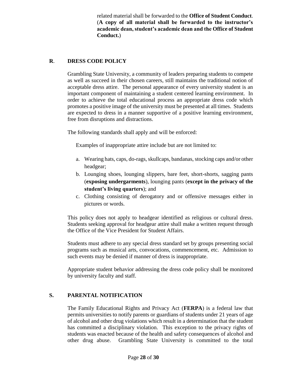related material shall be forwarded to the **Office of Student Conduct**. (**A copy of all material shall be forwarded to the instructor's academic dean, student's academic dean and the Office of Student Conduct.**)

### **R**. **DRESS CODE POLICY**

Grambling State University, a community of leaders preparing students to compete as well as succeed in their chosen careers, still maintains the traditional notion of acceptable dress attire. The personal appearance of every university student is an important component of maintaining a student centered learning environment. In order to achieve the total educational process an appropriate dress code which promotes a positive image of the university must be presented at all times. Students are expected to dress in a manner supportive of a positive learning environment, free from disruptions and distractions.

The following standards shall apply and will be enforced:

Examples of inappropriate attire include but are not limited to:

- a. Wearing hats, caps, do-rags, skullcaps, bandanas, stocking caps and/or other headgear;
- b. Lounging shoes, lounging slippers, bare feet, short-shorts, sagging pants (**exposing undergarments**), lounging pants (**except in the privacy of the student's living quarters**); and
- c. Clothing consisting of derogatory and or offensive messages either in pictures or words.

This policy does not apply to headgear identified as religious or cultural dress. Students seeking approval for headgear attire shall make a written request through the Office of the Vice President for Student Affairs.

Students must adhere to any special dress standard set by groups presenting social programs such as musical arts, convocations, commencement, etc. Admission to such events may be denied if manner of dress is inappropriate.

Appropriate student behavior addressing the dress code policy shall be monitored by university faculty and staff.

### **S. PARENTAL NOTIFICATION**

The Family Educational Rights and Privacy Act (**FERPA**) is a federal law that permits universities to notify parents or guardians of students under 21 years of age of alcohol and other drug violations which result in a determination that the student has committed a disciplinary violation. This exception to the privacy rights of students was enacted because of the health and safety consequences of alcohol and other drug abuse. Grambling State University is committed to the total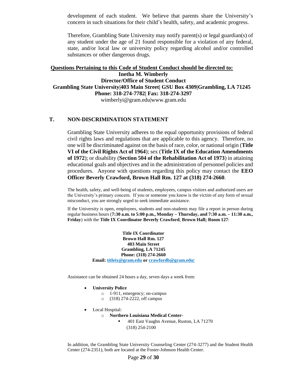development of each student. We believe that parents share the University's concern in such situations for their child's health, safety, and academic progress.

Therefore, Grambling State University may notify parent(s) or legal guardian(s) of any student under the age of 21 found responsible for a violation of any federal, state, and/or local law or university policy regarding alcohol and/or controlled substances or other dangerous drugs.

#### **Questions Pertaining to this Code of Student Conduct should be directed to: Inetha M. Wimberly Director/Office of Student Conduct Grambling State University|403 Main Street| GSU Box 4309|Grambling, LA 71245 Phone: 318-274-7782| Fax: 318-274-3297** wimberlyi@gram.edu|www.gram.edu

#### **T. NON-DISCRIMINATION STATEMENT**

Grambling State University adheres to the equal opportunity provisions of federal civil rights laws and regulations that are applicable to this agency. Therefore, no one will be discriminated against on the basis of race, color, or national origin (**Title VI of the Civil Rights Act of 1964**); sex (**Title IX of the Education Amendments of 1972**); or disability (**Section 504 of the Rehabilitation Act of 1973**) in attaining educational goals and objectives and in the administration of personnel policies and procedures. Anyone with questions regarding this policy may contact the **EEO Officer Beverly Crawford, Brown Hall Rm. 127 at (318) 274-2660**.

The health, safety, and well-being of students, employees, campus visitors and authorized users are the University's primary concern. If you or someone you know is the victim of any form of sexual misconduct, you are strongly urged to seek immediate assistance.

If the University is open, employees, students and non-students may file a report in person during regular business hours (**7:30 a.m. to 5:00 p.m., Monday – Thursday, and 7:30 a.m. – 11:30 a.m., Friday**) with the **Title IX Coordinator Beverly Crawford**, **Brown Hall; Room 127**:

> **Title IX Coordinator Brown Hall Rm. 127 403 Main Street Grambling, LA 71245 Phone: (318) 274-2660 Email: [titleix@gram.edu](mailto:titleix@gram.edu%7C) or crawfordb@gram.edu|**

Assistance can be obtained 24 hours a day, seven days a week from:

- **University Police** 
	- o 1-911, emergency; on-campus
	- o (318) 274-2222, off campus
- Local Hospital:
	- o **Northern Louisiana Medical Center-**
		- 401 East Vaughn Avenue, Ruston, LA 71270
			- (318) 254-2100

In addition, the Grambling State University Counseling Center (274-3277) and the Student Health Center (274-2351), both are located at the Foster-Johnson Health Center.